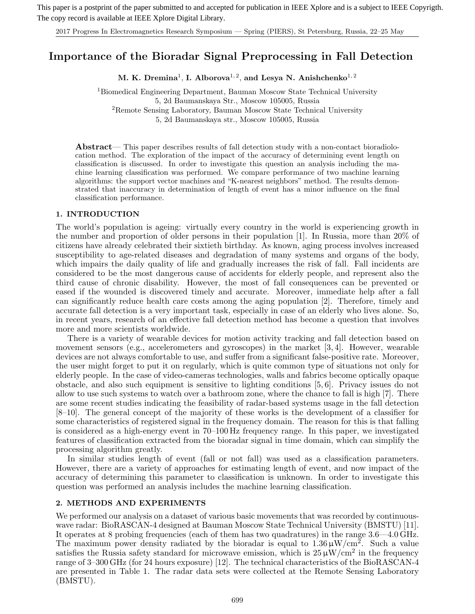This paper is a postprint of the paper submitted to and accepted for publication in IEEE Xplore and is a subject to IEEE Copyrigth. The copy record is available at IEEE Xplore Digital Library.

2017 Progress In Electromagnetics Research Symposium — Spring (PIERS), St Petersburg, Russia, 22–25 May

# **Importance of the Bioradar Signal Preprocessing in Fall Detection**

M. K. Dremina<sup>1</sup>, I. Alborova<sup>1, 2</sup>, and Lesya N. Anishchenko<sup>1, 2</sup>

<sup>1</sup>Biomedical Engineering Department, Bauman Moscow State Technical University 5, 2d Baumanskaya Str., Moscow 105005, Russia <sup>2</sup>Remote Sensing Laboratory, Bauman Moscow State Technical University

5, 2d Baumanskaya str., Moscow 105005, Russia

**Abstract**— This paper describes results of fall detection study with a non-contact bioradiolocation method. The exploration of the impact of the accuracy of determining event length on classification is discussed. In order to investigate this question an analysis including the machine learning classification was performed. We compare performance of two machine learning algorithms: the support vector machines and "K-nearest neighbors" method. The results demonstrated that inaccuracy in determination of length of event has a minor influence on the final classification performance.

#### **1. INTRODUCTION**

The world's population is ageing: virtually every country in the world is experiencing growth in the number and proportion of older persons in their population [1]. In Russia, more than 20% of citizens have already celebrated their sixtieth birthday. As known, aging process involves increased susceptibility to age-related diseases and degradation of many systems and organs of the body, which impairs the daily quality of life and gradually increases the risk of fall. Fall incidents are considered to be the most dangerous cause of accidents for elderly people, and represent also the third cause of chronic disability. However, the most of fall consequences can be prevented or eased if the wounded is discovered timely and accurate. Moreover, immediate help after a fall can significantly reduce health care costs among the aging population [2]. Therefore, timely and accurate fall detection is a very important task, especially in case of an elderly who lives alone. So, in recent years, research of an effective fall detection method has become a question that involves more and more scientists worldwide.

There is a variety of wearable devices for motion activity tracking and fall detection based on movement sensors (e.g., accelerometers and gyroscopes) in the market [3, 4]. However, wearable devices are not always comfortable to use, and suffer from a significant false-positive rate. Moreover, the user might forget to put it on regularly, which is quite common type of situations not only for elderly people. In the case of video-cameras technologies, walls and fabrics become optically opaque obstacle, and also such equipment is sensitive to lighting conditions [5, 6]. Privacy issues do not allow to use such systems to watch over a bathroom zone, where the chance to fall is high [7]. There are some recent studies indicating the feasibility of radar-based systems usage in the fall detection [8–10]. The general concept of the majority of these works is the development of a classifier for some characteristics of registered signal in the frequency domain. The reason for this is that falling is considered as a high-energy event in 70–100 Hz frequency range. In this paper, we investigated features of classification extracted from the bioradar signal in time domain, which can simplify the processing algorithm greatly.

In similar studies length of event (fall or not fall) was used as a classification parameters. However, there are a variety of approaches for estimating length of event, and now impact of the accuracy of determining this parameter to classification is unknown. In order to investigate this question was performed an analysis includes the machine learning classification.

## **2. METHODS AND EXPERIMENTS**

We performed our analysis on a dataset of various basic movements that was recorded by continuouswave radar: BioRASCAN-4 designed at Bauman Moscow State Technical University (BMSTU) [11]. It operates at 8 probing frequencies (each of them has two quadratures) in the range 3.6—4.0 GHz. The maximum power density radiated by the bioradar is equal to  $1.36 \mu W/cm^2$ . Such a value satisfies the Russia safety standard for microwave emission, which is  $25 \mu W/cm^2$  in the frequency range of 3–300 GHz (for 24 hours exposure) [12]. The technical characteristics of the BioRASCAN-4 are presented in Table 1. The radar data sets were collected at the Remote Sensing Laboratory (BMSTU).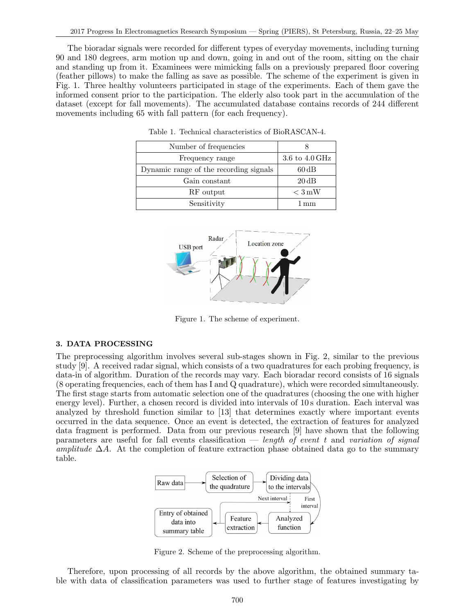The bioradar signals were recorded for different types of everyday movements, including turning 90 and 180 degrees, arm motion up and down, going in and out of the room, sitting on the chair and standing up from it. Examinees were mimicking falls on a previously prepared floor covering (feather pillows) to make the falling as save as possible. The scheme of the experiment is given in Fig. 1. Three healthy volunteers participated in stage of the experiments. Each of them gave the informed consent prior to the participation. The elderly also took part in the accumulation of the dataset (except for fall movements). The accumulated database contains records of 244 different movements including 65 with fall pattern (for each frequency).

| Number of frequencies                  |                   |  |  |
|----------------------------------------|-------------------|--|--|
| Frequency range                        | 3.6 to $4.0$ GHz  |  |  |
| Dynamic range of the recording signals | $60\,\mathrm{dB}$ |  |  |
| Gain constant                          | $20\,\mathrm{dB}$ |  |  |
| RF output                              | $\rm < 3\,mW$     |  |  |
| Sensitivity                            | 1 mm              |  |  |

Table 1. Technical characteristics of BioRASCAN-4.



Figure 1. The scheme of experiment.

#### **3. DATA PROCESSING**

The preprocessing algorithm involves several sub-stages shown in Fig. 2, similar to the previous study [9]. A received radar signal, which consists of a two quadratures for each probing frequency, is data-in of algorithm. Duration of the records may vary. Each bioradar record consists of 16 signals (8 operating frequencies, each of them has I and Q quadrature), which were recorded simultaneously. The first stage starts from automatic selection one of the quadratures (choosing the one with higher energy level). Further, a chosen record is divided into intervals of 10 s duration. Each interval was analyzed by threshold function similar to [13] that determines exactly where important events occurred in the data sequence. Once an event is detected, the extraction of features for analyzed data fragment is performed. Data from our previous research [9] have shown that the following parameters are useful for fall events classification — *length of event* t and *variation of signal amplitude*  $\Delta A$ . At the completion of feature extraction phase obtained data go to the summary table.



Figure 2. Scheme of the preprocessing algorithm.

Therefore, upon processing of all records by the above algorithm, the obtained summary table with data of classification parameters was used to further stage of features investigating by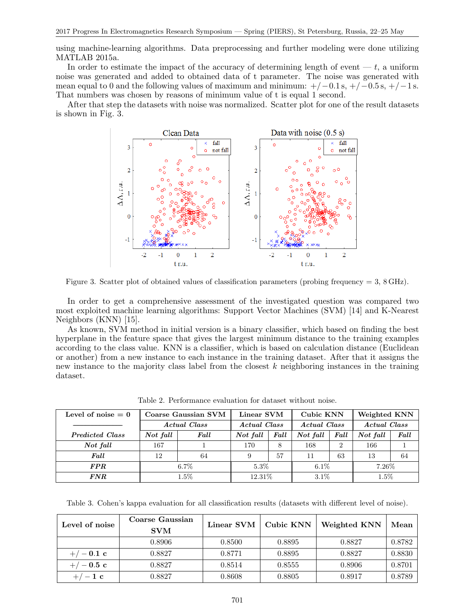using machine-learning algorithms. Data preprocessing and further modeling were done utilizing MATLAB 2015a.

In order to estimate the impact of the accuracy of determining length of event  $-t$ , a uniform noise was generated and added to obtained data of t parameter. The noise was generated with mean equal to 0 and the following values of maximum and minimum:  $+/-0.1$  s,  $+/-0.5$  s,  $+/-1$  s. That numbers was chosen by reasons of minimum value of t is equal 1 second.

After that step the datasets with noise was normalized. Scatter plot for one of the result datasets is shown in Fig. 3.



Figure 3. Scatter plot of obtained values of classification parameters (probing frequency = 3, 8 GHz).

In order to get a comprehensive assessment of the investigated question was compared two most exploited machine learning algorithms: Support Vector Machines (SVM) [14] and K-Nearest Neighbors (KNN) [15].

As known, SVM method in initial version is a binary classifier, which based on finding the best hyperplane in the feature space that gives the largest minimum distance to the training examples according to the class value. KNN is a classifier, which is based on calculation distance (Euclidean or another) from a new instance to each instance in the training dataset. After that it assigns the new instance to the majority class label from the closest k neighboring instances in the training dataset.

| Level of noise $= 0$   | Coarse Gaussian SVM |      | Linear SVM   |      | Cubic KNN    |          | Weighted KNN |      |
|------------------------|---------------------|------|--------------|------|--------------|----------|--------------|------|
|                        | Actual Class        |      | Actual Class |      | Actual Class |          | Actual Class |      |
| <b>Predicted Class</b> | Not fall            | Fall | Not fall     | Fall | Not fall     | Fall     | Not fall     | Fall |
| Not fall               | 167                 |      | 170          | 8    | 168          | $\Omega$ | 166          |      |
| Fall                   | 12                  | 64   | 9            | 57   | 11           | 63       | 13           | 64   |
| <b>FPR</b>             | $6.7\%$             |      | $5.3\%$      |      | $6.1\%$      |          | $7.26\%$     |      |
| $\pmb{FNR}$            | $1.5\%$             |      | 12.31%       |      | $3.1\%$      |          | $1.5\%$      |      |

Table 2. Performance evaluation for dataset without noise.

Table 3. Cohen's kappa evaluation for all classification results (datasets with different level of noise).

| Level of noise | Coarse Gaussian<br><b>SVM</b> | Linear SVM | Cubic KNN | Weighted KNN | Mean   |
|----------------|-------------------------------|------------|-----------|--------------|--------|
|                | 0.8906                        | 0.8500     | 0.8895    | 0.8827       | 0.8782 |
| $+/-0.1$ c     | 0.8827                        | 0.8771     | 0.8895    | 0.8827       | 0.8830 |
| $+/-0.5$ c     | 0.8827                        | 0.8514     | 0.8555    | 0.8906       | 0.8701 |
| $+/-1$ c       | 0.8827                        | 0.8608     | 0.8805    | 0.8917       | 0.8789 |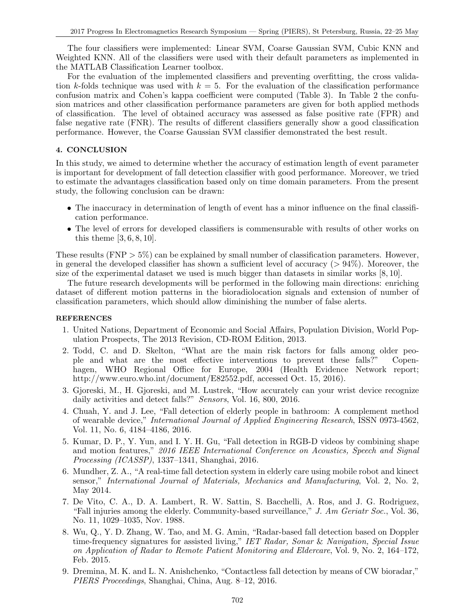The four classifiers were implemented: Linear SVM, Coarse Gaussian SVM, Cubic KNN and Weighted KNN. All of the classifiers were used with their default parameters as implemented in the MATLAB Classification Learner toolbox.

For the evaluation of the implemented classifiers and preventing overfitting, the cross validation k-folds technique was used with  $k = 5$ . For the evaluation of the classification performance confusion matrix and Cohen's kappa coefficient were computed (Table 3). In Table 2 the confusion matrices and other classification performance parameters are given for both applied methods of classification. The level of obtained accuracy was assessed as false positive rate (FPR) and false negative rate (FNR). The results of different classifiers generally show a good classification performance. However, the Coarse Gaussian SVM classifier demonstrated the best result.

# **4. CONCLUSION**

In this study, we aimed to determine whether the accuracy of estimation length of event parameter is important for development of fall detection classifier with good performance. Moreover, we tried to estimate the advantages classification based only on time domain parameters. From the present study, the following conclusion can be drawn:

- The inaccuracy in determination of length of event has a minor influence on the final classification performance.
- The level of errors for developed classifiers is commensurable with results of other works on this theme [3, 6, 8, 10].

These results  $(FNP > 5\%)$  can be explained by small number of classification parameters. However, in general the developed classifier has shown a sufficient level of accuracy  $(> 94\%)$ . Moreover, the size of the experimental dataset we used is much bigger than datasets in similar works [8, 10].

The future research developments will be performed in the following main directions: enriching dataset of different motion patterns in the bioradiolocation signals and extension of number of classification parameters, which should allow diminishing the number of false alerts.

## **REFERENCES**

- 1. United Nations, Department of Economic and Social Affairs, Population Division, World Population Prospects, The 2013 Revision, CD-ROM Edition, 2013.
- 2. Todd, C. and D. Skelton, "What are the main risk factors for falls among older people and what are the most effective interventions to prevent these falls?" Copenhagen, WHO Regional Office for Europe, 2004 (Health Evidence Network report; http://www.euro.who.int/document/E82552.pdf, accessed Oct. 15, 2016).
- 3. Gjoreski, M., H. Gjoreski, and M. Lustrek, "How accurately can your wrist device recognize daily activities and detect falls?" *Sensors*, Vol. 16, 800, 2016.
- 4. Chuah, Y. and J. Lee, "Fall detection of elderly people in bathroom: A complement method of wearable device," *International Journal of Applied Engineering Research*, ISSN 0973-4562, Vol. 11, No. 6, 4184–4186, 2016.
- 5. Kumar, D. P., Y. Yun, and I. Y. H. Gu, "Fall detection in RGB-D videos by combining shape and motion features," *2016 IEEE International Conference on Acoustics, Speech and Signal Processing (ICASSP)*, 1337–1341, Shanghai, 2016.
- 6. Mundher, Z. A., "A real-time fall detection system in elderly care using mobile robot and kinect sensor," *International Journal of Materials, Mechanics and Manufacturing*, Vol. 2, No. 2, May 2014.
- 7. De Vito, C. A., D. A. Lambert, R. W. Sattin, S. Bacchelli, A. Ros, and J. G. Rodriguez, "Fall injuries among the elderly. Community-based surveillance," *J. Am Geriatr Soc.*, Vol. 36, No. 11, 1029–1035, Nov. 1988.
- 8. Wu, Q., Y. D. Zhang, W. Tao, and M. G. Amin, "Radar-based fall detection based on Doppler time-frequency signatures for assisted living," *IET Radar, Sonar* & *Navigation, Special Issue on Application of Radar to Remote Patient Monitoring and Eldercare*, Vol. 9, No. 2, 164–172, Feb. 2015.
- 9. Dremina, M. K. and L. N. Anishchenko, "Contactless fall detection by means of CW bioradar," *PIERS Proceedings*, Shanghai, China, Aug. 8–12, 2016.